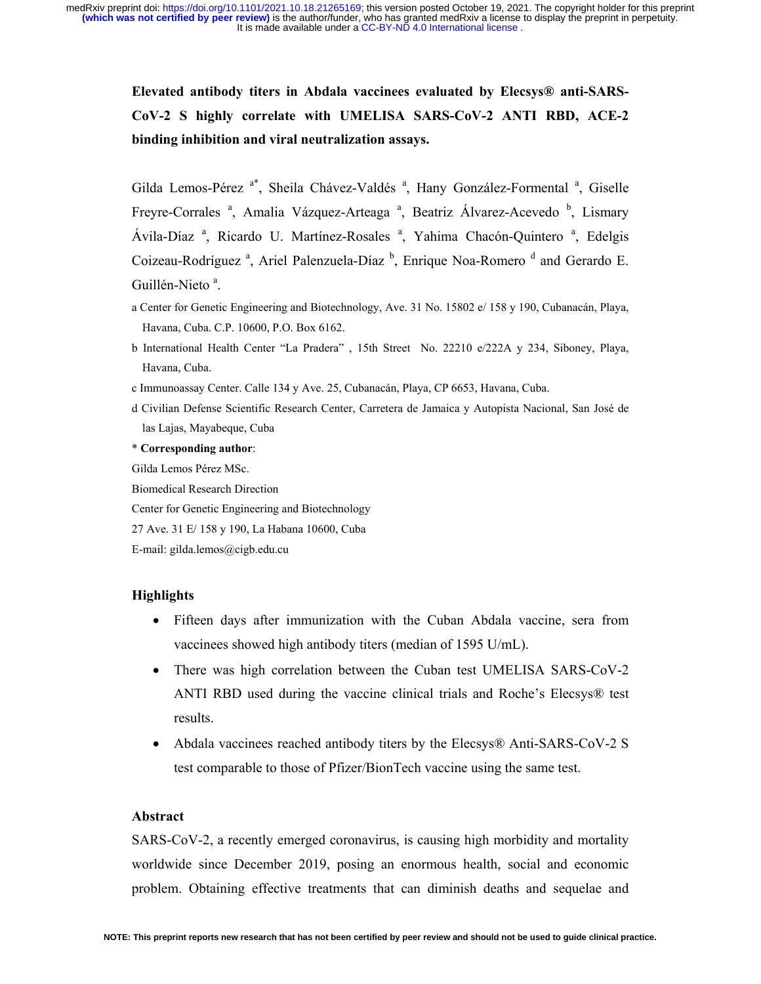> **Elevated antibody titers in Abdala vaccinees evaluated by Elecsys® anti-SARS-CoV-2 S highly correlate with UMELISA SARS-CoV-2 ANTI RBD, ACE-2 binding inhibition and viral neutralization assays.**

> Gilda Lemos-Pérez<sup>a\*</sup>, Sheila Chávez-Valdés<sup>a</sup>, Hany González-Formental<sup>a</sup>, Giselle Freyre-Corrales<sup>a</sup>, Amalia Vázquez-Arteaga<sup>a</sup>, Beatriz Álvarez-Acevedo<sup>b</sup>, Lismary Ávila-Díaz<sup>a</sup>, Ricardo U. Martínez-Rosales<sup>a</sup>, Yahima Chacón-Quintero<sup>a</sup>, Edelgis Coizeau-Rodríguez<sup>a</sup>, Ariel Palenzuela-Díaz<sup>b</sup>, Enrique Noa-Romero<sup>d</sup> and Gerardo E. Guillén-Nieto<sup>a</sup>.

- a Center for Genetic Engineering and Biotechnology, Ave. 31 No. 15802 e/ 158 y 190, Cubanacán, Playa, Havana, Cuba. C.P. 10600, P.O. Box 6162.
- b International Health Center "La Pradera" , 15th Street No. 22210 e/222A y 234, Siboney, Playa, Havana, Cuba.
- c Immunoassay Center. Calle 134 y Ave. 25, Cubanacán, Playa, CP 6653, Havana, Cuba.
- d Civilian Defense Scientific Research Center, Carretera de Jamaica y Autopista Nacional, San José de las Lajas, Mayabeque, Cuba

\* **Corresponding author**:

Gilda Lemos Pérez MSc.

Biomedical Research Direction

Center for Genetic Engineering and Biotechnology

27 Ave. 31 E/ 158 y 190, La Habana 10600, Cuba

E-mail: gilda.lemos@cigb.edu.cu

# **Highlights**

- Fifteen days after immunization with the Cuban Abdala vaccine, sera from vaccinees showed high antibody titers (median of 1595 U/mL).
- There was high correlation between the Cuban test UMELISA SARS-CoV-2 ANTI RBD used during the vaccine clinical trials and Roche's Elecsys® test results.
- Abdala vaccinees reached antibody titers by the Elecsys® Anti-SARS-CoV-2 S test comparable to those of Pfizer/BionTech vaccine using the same test.

# **Abstract**

SARS-CoV-2, a recently emerged coronavirus, is causing high morbidity and mortality worldwide since December 2019, posing an enormous health, social and economic problem. Obtaining effective treatments that can diminish deaths and sequelae and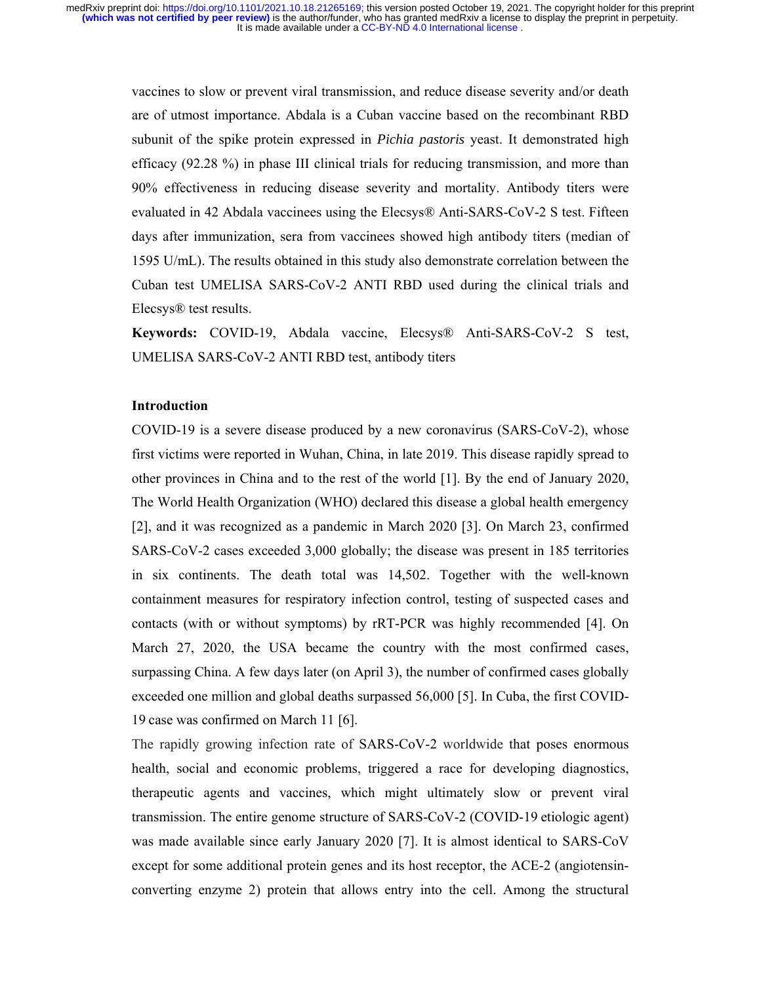vaccines to slow or prevent viral transmission, and reduce disease severity and/or death are of utmost importance. Abdala is a Cuban vaccine based on the recombinant RBD subunit of the spike protein expressed in *Pichia pastoris* yeast. It demonstrated high efficacy (92.28 %) in phase III clinical trials for reducing transmission, and more than 90% effectiveness in reducing disease severity and mortality. Antibody titers were evaluated in 42 Abdala vaccinees using the Elecsys® Anti-SARS-CoV-2 S test. Fifteen days after immunization, sera from vaccinees showed high antibody titers (median of 1595 U/mL). The results obtained in this study also demonstrate correlation between the Cuban test UMELISA SARS-CoV-2 ANTI RBD used during the clinical trials and Elecsys® test results.

**Keywords:** COVID-19, Abdala vaccine, Elecsys® Anti-SARS-CoV-2 S test, UMELISA SARS-CoV-2 ANTI RBD test, antibody titers

# **Introduction**

COVID-19 is a severe disease produced by a new coronavirus (SARS-CoV-2), whose first victims were reported in Wuhan, China, in late 2019. This disease rapidly spread to other provinces in China and to the rest of the world [1]. By the end of January 2020, The World Health Organization (WHO) declared this disease a global health emergency [2], and it was recognized as a pandemic in March 2020 [3]. On March 23, confirmed SARS-CoV-2 cases exceeded 3,000 globally; the disease was present in 185 territories in six continents. The death total was 14,502. Together with the well-known containment measures for respiratory infection control, testing of suspected cases and contacts (with or without symptoms) by rRT-PCR was highly recommended [4]. On March 27, 2020, the USA became the country with the most confirmed cases, surpassing China. A few days later (on April 3), the number of confirmed cases globally exceeded one million and global deaths surpassed 56,000 [5]. In Cuba, the first COVID-19 case was confirmed on March 11 [6].

The rapidly growing infection rate of SARS-CoV-2 worldwide that poses enormous health, social and economic problems, triggered a race for developing diagnostics, therapeutic agents and vaccines, which might ultimately slow or prevent viral transmission. The entire genome structure of SARS-CoV-2 (COVID-19 etiologic agent) was made available since early January 2020 [7]. It is almost identical to SARS-CoV except for some additional protein genes and its host receptor, the ACE-2 (angiotensinconverting enzyme 2) protein that allows entry into the cell. Among the structural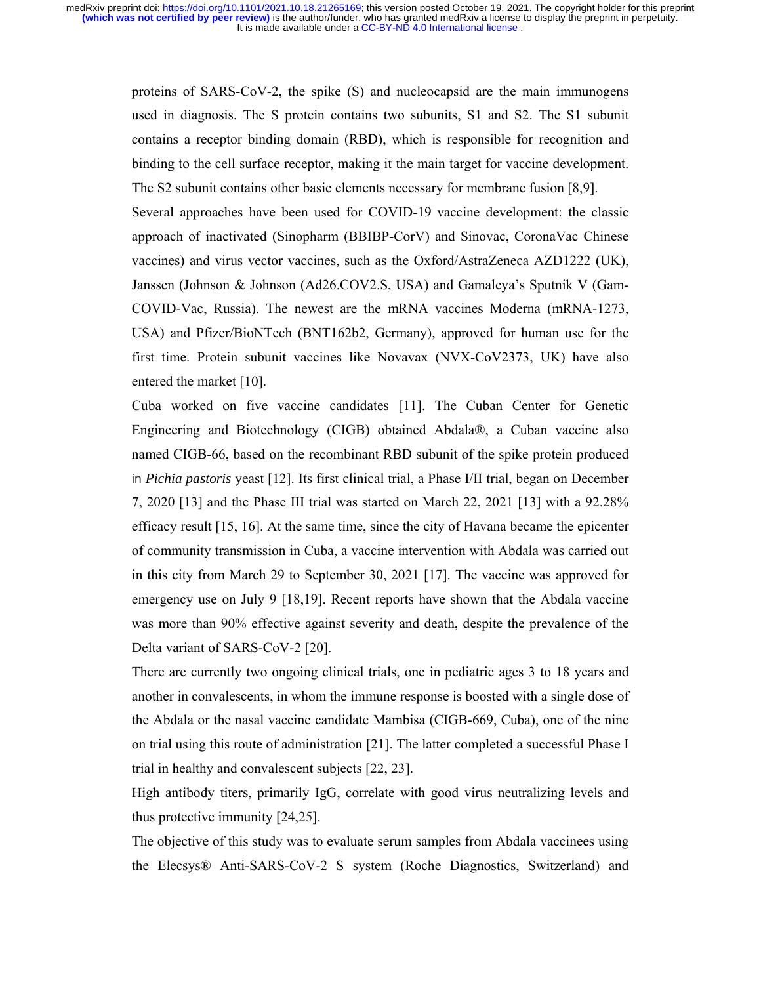proteins of SARS-CoV-2, the spike (S) and nucleocapsid are the main immunogens used in diagnosis. The S protein contains two subunits, S1 and S2. The S1 subunit contains a receptor binding domain (RBD), which is responsible for recognition and binding to the cell surface receptor, making it the main target for vaccine development. The S2 subunit contains other basic elements necessary for membrane fusion [8,9]. Several approaches have been used for COVID-19 vaccine development: the classic approach of inactivated (Sinopharm (BBIBP-CorV) and Sinovac, CoronaVac Chinese vaccines) and virus vector vaccines, such as the Oxford/AstraZeneca AZD1222 (UK), Janssen (Johnson & Johnson (Ad26.COV2.S, USA) and Gamaleya's Sputnik V (Gam-COVID-Vac, Russia). The newest are the mRNA vaccines Moderna (mRNA-1273, USA) and Pfizer/BioNTech (BNT162b2, Germany), approved for human use for the

first time. Protein subunit vaccines like Novavax (NVX-CoV2373, UK) have also entered the market [10].

Cuba worked on five vaccine candidates [11]. The Cuban Center for Genetic Engineering and Biotechnology (CIGB) obtained Abdala®, a Cuban vaccine also named CIGB-66, based on the recombinant RBD subunit of the spike protein produced in *Pichia pastoris* yeast [12]. Its first clinical trial, a Phase I/II trial, began on December 7, 2020 [13] and the Phase III trial was started on March 22, 2021 [13] with a 92.28% efficacy result [15, 16]. At the same time, since the city of Havana became the epicenter of community transmission in Cuba, a vaccine intervention with Abdala was carried out in this city from March 29 to September 30, 2021 [17]. The vaccine was approved for emergency use on July 9 [18,19]. Recent reports have shown that the Abdala vaccine was more than 90% effective against severity and death, despite the prevalence of the Delta variant of SARS-CoV-2 [20].

There are currently two ongoing clinical trials, one in pediatric ages 3 to 18 years and another in convalescents, in whom the immune response is boosted with a single dose of the Abdala or the nasal vaccine candidate Mambisa (CIGB-669, Cuba), one of the nine on trial using this route of administration [21]. The latter completed a successful Phase I trial in healthy and convalescent subjects [22, 23].

High antibody titers, primarily IgG, correlate with good virus neutralizing levels and thus protective immunity [24,25].

The objective of this study was to evaluate serum samples from Abdala vaccinees using the Elecsys® Anti-SARS-CoV-2 S system (Roche Diagnostics, Switzerland) and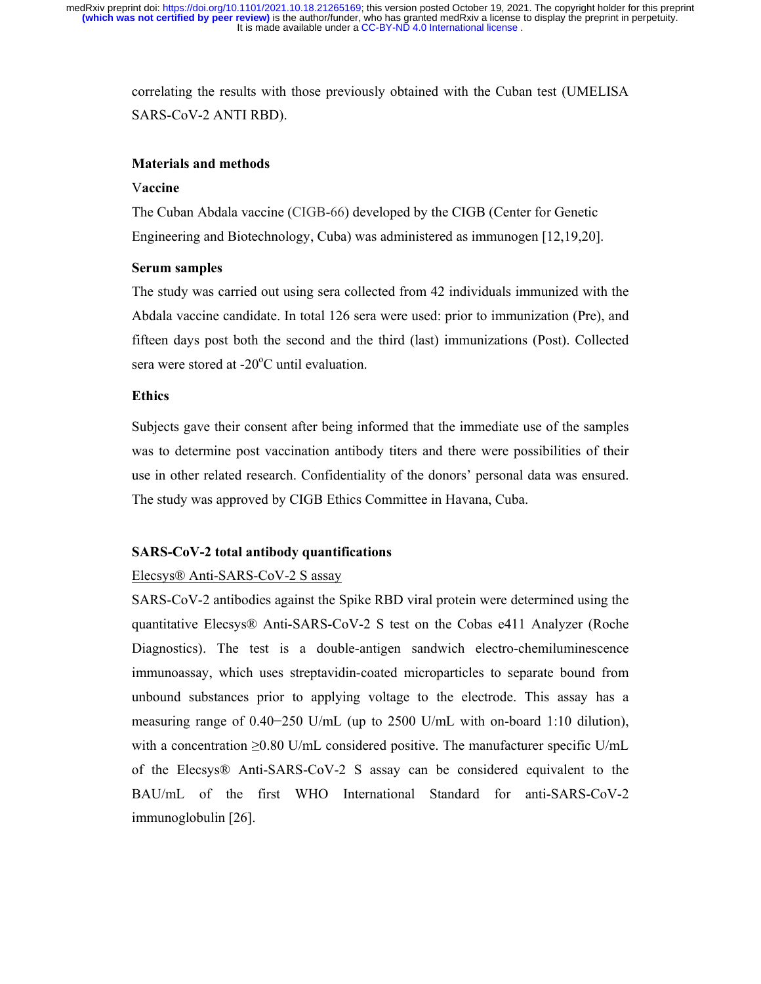> correlating the results with those previously obtained with the Cuban test (UMELISA SARS-CoV-2 ANTI RBD).

### **Materials and methods**

### V**accine**

The Cuban Abdala vaccine (CIGB-66) developed by the CIGB (Center for Genetic Engineering and Biotechnology, Cuba) was administered as immunogen [12,19,20].

### **Serum samples**

The study was carried out using sera collected from 42 individuals immunized with the Abdala vaccine candidate. In total 126 sera were used: prior to immunization (Pre), and fifteen days post both the second and the third (last) immunizations (Post). Collected sera were stored at -20 $^{\circ}$ C until evaluation.

# **Ethics**

Subjects gave their consent after being informed that the immediate use of the samples was to determine post vaccination antibody titers and there were possibilities of their use in other related research. Confidentiality of the donors' personal data was ensured. The study was approved by CIGB Ethics Committee in Havana, Cuba.

### **SARS-CoV-2 total antibody quantifications**

### Elecsys® Anti-SARS-CoV-2 S assay

SARS-CoV-2 antibodies against the Spike RBD viral protein were determined using the quantitative Elecsys® Anti-SARS-CoV-2 S test on the Cobas e411 Analyzer (Roche Diagnostics). The test is a double-antigen sandwich electro-chemiluminescence immunoassay, which uses streptavidin-coated microparticles to separate bound from unbound substances prior to applying voltage to the electrode. This assay has a measuring range of 0.40−250 U/mL (up to 2500 U/mL with on-board 1:10 dilution), with a concentration  $\geq 0.80$  U/mL considered positive. The manufacturer specific U/mL of the Elecsys® Anti-SARS-CoV-2 S assay can be considered equivalent to the BAU/mL of the first WHO International Standard for anti-SARS-CoV-2 immunoglobulin [26].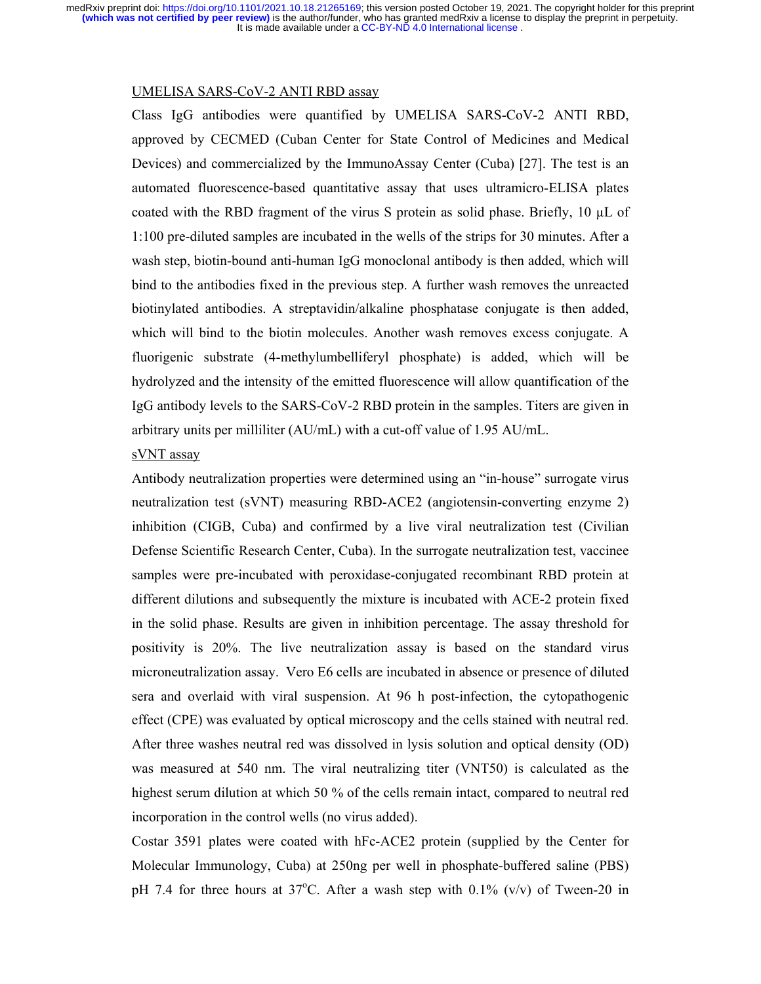#### UMELISA SARS-CoV-2 ANTI RBD assay

Class IgG antibodies were quantified by UMELISA SARS-CoV-2 ANTI RBD, approved by CECMED (Cuban Center for State Control of Medicines and Medical Devices) and commercialized by the ImmunoAssay Center (Cuba) [27]. The test is an automated fluorescence-based quantitative assay that uses ultramicro-ELISA plates coated with the RBD fragment of the virus S protein as solid phase. Briefly,  $10 \mu L$  of 1:100 pre-diluted samples are incubated in the wells of the strips for 30 minutes. After a wash step, biotin-bound anti-human IgG monoclonal antibody is then added, which will bind to the antibodies fixed in the previous step. A further wash removes the unreacted biotinylated antibodies. A streptavidin/alkaline phosphatase conjugate is then added, which will bind to the biotin molecules. Another wash removes excess conjugate. A fluorigenic substrate (4-methylumbelliferyl phosphate) is added, which will be hydrolyzed and the intensity of the emitted fluorescence will allow quantification of the IgG antibody levels to the SARS-CoV-2 RBD protein in the samples. Titers are given in arbitrary units per milliliter (AU/mL) with a cut-off value of 1.95 AU/mL.

# sVNT assay

Antibody neutralization properties were determined using an "in-house" surrogate virus neutralization test (sVNT) measuring RBD-ACE2 (angiotensin-converting enzyme 2) inhibition (CIGB, Cuba) and confirmed by a live viral neutralization test (Civilian Defense Scientific Research Center, Cuba). In the surrogate neutralization test, vaccinee samples were pre-incubated with peroxidase-conjugated recombinant RBD protein at different dilutions and subsequently the mixture is incubated with ACE-2 protein fixed in the solid phase. Results are given in inhibition percentage. The assay threshold for positivity is 20%. The live neutralization assay is based on the standard virus microneutralization assay. Vero E6 cells are incubated in absence or presence of diluted sera and overlaid with viral suspension. At 96 h post-infection, the cytopathogenic effect (CPE) was evaluated by optical microscopy and the cells stained with neutral red. After three washes neutral red was dissolved in lysis solution and optical density (OD) was measured at 540 nm. The viral neutralizing titer (VNT50) is calculated as the highest serum dilution at which 50 % of the cells remain intact, compared to neutral red incorporation in the control wells (no virus added).

Costar 3591 plates were coated with hFc-ACE2 protein (supplied by the Center for Molecular Immunology, Cuba) at 250ng per well in phosphate-buffered saline (PBS) pH 7.4 for three hours at  $37^{\circ}$ C. After a wash step with 0.1% (v/v) of Tween-20 in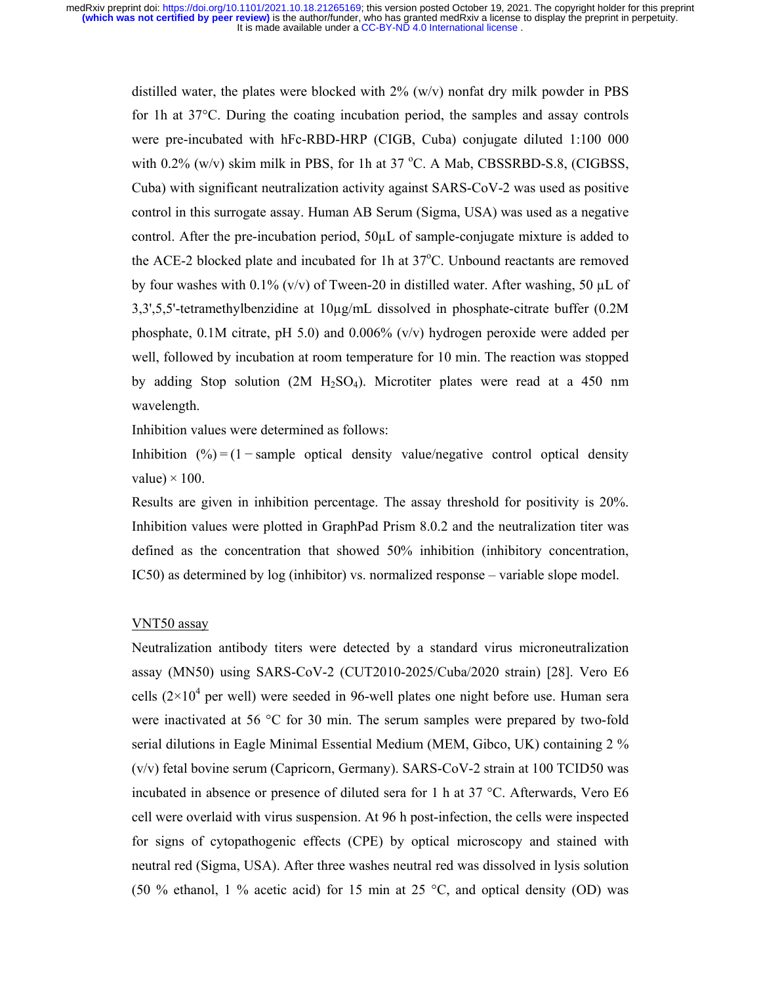distilled water, the plates were blocked with  $2\%$  (w/v) nonfat dry milk powder in PBS for 1h at 37°C. During the coating incubation period, the samples and assay controls were pre-incubated with hFc-RBD-HRP (CIGB, Cuba) conjugate diluted 1:100 000 with  $0.2\%$  (w/v) skim milk in PBS, for 1h at 37 °C. A Mab, CBSSRBD-S.8, (CIGBSS, Cuba) with significant neutralization activity against SARS-CoV-2 was used as positive control in this surrogate assay. Human AB Serum (Sigma, USA) was used as a negative control. After the pre-incubation period,  $50\mu$  of sample-conjugate mixture is added to the ACE-2 blocked plate and incubated for 1h at 37°C. Unbound reactants are removed by four washes with 0.1% (v/v) of Tween-20 in distilled water. After washing, 50  $\mu$ L of 3,3',5,5'-tetramethylbenzidine at 10µg/mL dissolved in phosphate-citrate buffer (0.2M phosphate, 0.1M citrate, pH 5.0) and 0.006%  $(v/v)$  hydrogen peroxide were added per well, followed by incubation at room temperature for 10 min. The reaction was stopped by adding Stop solution  $(2M H_2SO_4)$ . Microtiter plates were read at a 450 nm wavelength.

Inhibition values were determined as follows:

Inhibition  $(%)= (1-sample)$  optical density value/negative control optical density value $) \times 100$ .

Results are given in inhibition percentage. The assay threshold for positivity is 20%. Inhibition values were plotted in GraphPad Prism 8.0.2 and the neutralization titer was defined as the concentration that showed 50% inhibition (inhibitory concentration, IC50) as determined by log (inhibitor) vs. normalized response – variable slope model.

# VNT50 assay

Neutralization antibody titers were detected by a standard virus microneutralization assay (MN50) using SARS-CoV-2 (CUT2010-2025/Cuba/2020 strain) [28]. Vero E6 cells  $(2\times10^4$  per well) were seeded in 96-well plates one night before use. Human sera were inactivated at 56 °C for 30 min. The serum samples were prepared by two-fold serial dilutions in Eagle Minimal Essential Medium (MEM, Gibco, UK) containing 2 % (v/v) fetal bovine serum (Capricorn, Germany). SARS-CoV-2 strain at 100 TCID50 was incubated in absence or presence of diluted sera for 1 h at 37 °C. Afterwards, Vero E6 cell were overlaid with virus suspension. At 96 h post-infection, the cells were inspected for signs of cytopathogenic effects (CPE) by optical microscopy and stained with neutral red (Sigma, USA). After three washes neutral red was dissolved in lysis solution (50 % ethanol, 1 % acetic acid) for 15 min at 25 °C, and optical density (OD) was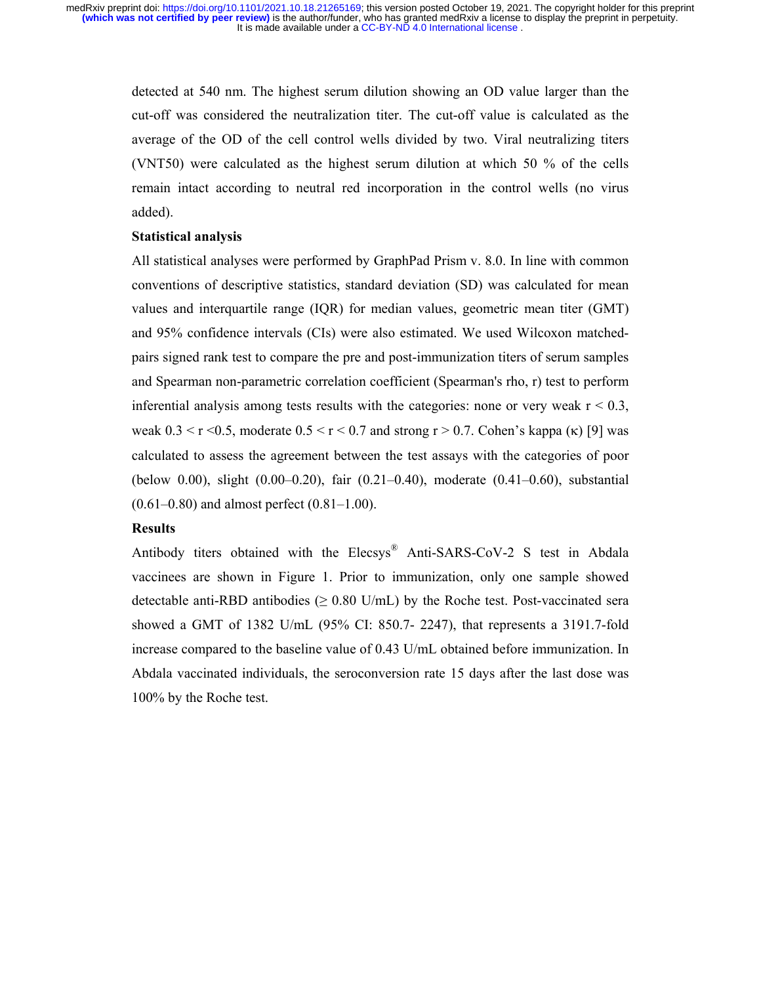> detected at 540 nm. The highest serum dilution showing an OD value larger than the cut-off was considered the neutralization titer. The cut-off value is calculated as the average of the OD of the cell control wells divided by two. Viral neutralizing titers (VNT50) were calculated as the highest serum dilution at which 50 % of the cells remain intact according to neutral red incorporation in the control wells (no virus added).

### **Statistical analysis**

All statistical analyses were performed by GraphPad Prism v. 8.0. In line with common conventions of descriptive statistics, standard deviation (SD) was calculated for mean values and interquartile range (IQR) for median values, geometric mean titer (GMT) and 95% confidence intervals (CIs) were also estimated. We used Wilcoxon matchedpairs signed rank test to compare the pre and post-immunization titers of serum samples and Spearman non-parametric correlation coefficient (Spearman's rho, r) test to perform inferential analysis among tests results with the categories: none or very weak  $r < 0.3$ , weak  $0.3 \le r \le 0.5$ , moderate  $0.5 \le r \le 0.7$  and strong  $r > 0.7$ . Cohen's kappa ( $\kappa$ ) [9] was calculated to assess the agreement between the test assays with the categories of poor (below 0.00), slight (0.00–0.20), fair (0.21–0.40), moderate (0.41–0.60), substantial  $(0.61-0.80)$  and almost perfect  $(0.81-1.00)$ .

### **Results**

Antibody titers obtained with the Elecsys® Anti-SARS-CoV-2 S test in Abdala vaccinees are shown in Figure 1. Prior to immunization, only one sample showed detectable anti-RBD antibodies ( $\geq 0.80$  U/mL) by the Roche test. Post-vaccinated sera showed a GMT of 1382 U/mL (95% CI: 850.7- 2247), that represents a 3191.7-fold increase compared to the baseline value of 0.43 U/mL obtained before immunization. In Abdala vaccinated individuals, the seroconversion rate 15 days after the last dose was 100% by the Roche test.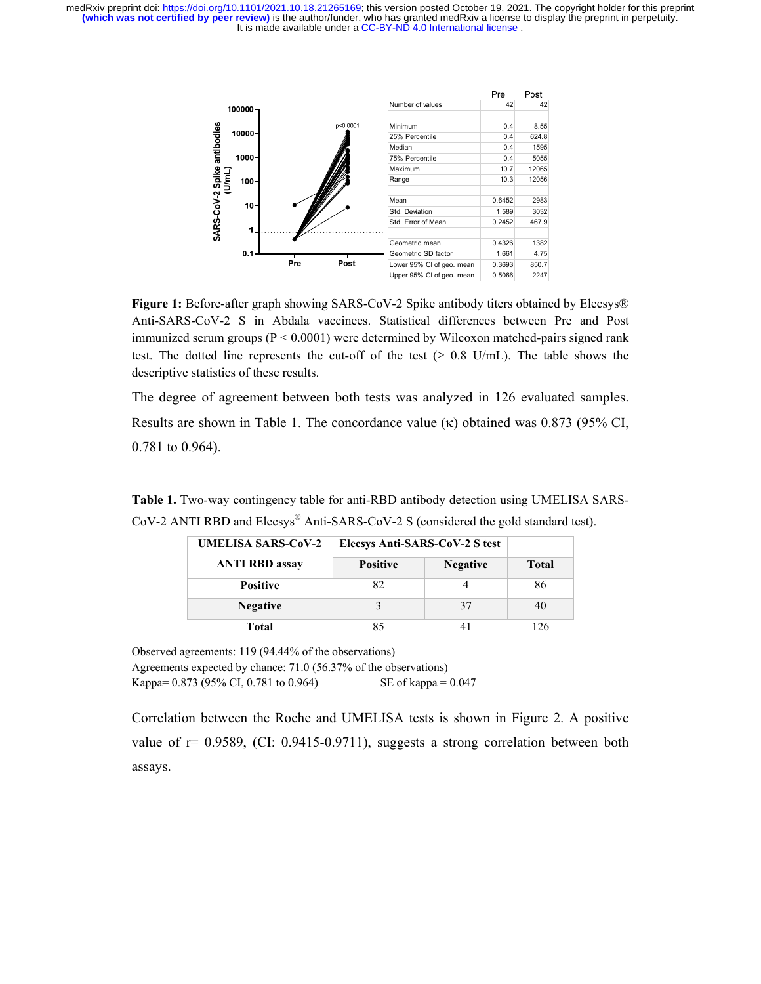It is made available under a CC-BY-ND 4.0 International license. **(which was not certified by peer review)** is the author/funder, who has granted medRxiv a license to display the preprint in perpetuity. medRxiv preprint doi: [https://doi.org/10.1101/2021.10.18.21265169;](https://doi.org/10.1101/2021.10.18.21265169) this version posted October 19, 2021. The copyright holder for this preprint



Figure 1: Before-after graph showing SARS-CoV-2 Spike antibody titers obtained by Elecsys® Anti-SARS-CoV-2 S in Abdala vaccinees. Statistical differences between Pre and Post immunized serum groups  $(P < 0.0001)$  were determined by Wilcoxon matched-pairs signed rank test. The dotted line represents the cut-off of the test ( $\geq 0.8$  U/mL). The table shows the descriptive statistics of these results.

The degree of agreement between both tests was analyzed in 126 evaluated samples. Results are shown in Table 1. The concordance value  $(\kappa)$  obtained was 0.873 (95% CI, 0.781 to 0.964).

**Table 1.** Two-way contingency table for anti-RBD antibody detection using UMELISA SARS-CoV-2 ANTI RBD and Elecsys® Anti-SARS-CoV-2 S (considered the gold standard test).

| <b>UMELISA SARS-CoV-2</b> | Elecsys Anti-SARS-CoV-2 S test |                 |              |
|---------------------------|--------------------------------|-----------------|--------------|
| <b>ANTI RBD assay</b>     | <b>Positive</b>                | <b>Negative</b> | <b>Total</b> |
| <b>Positive</b>           | 82                             |                 | 86           |
| <b>Negative</b>           |                                | 37              | 40           |
| Total                     |                                |                 | $\sqrt{26}$  |

Observed agreements: 119 (94.44% of the observations) Agreements expected by chance: 71.0 (56.37% of the observations) Kappa=  $0.873$  (95% CI, 0.781 to 0.964) SE of kappa =  $0.047$ 

Correlation between the Roche and UMELISA tests is shown in Figure 2. A positive value of  $r = 0.9589$ , (CI: 0.9415-0.9711), suggests a strong correlation between both assays.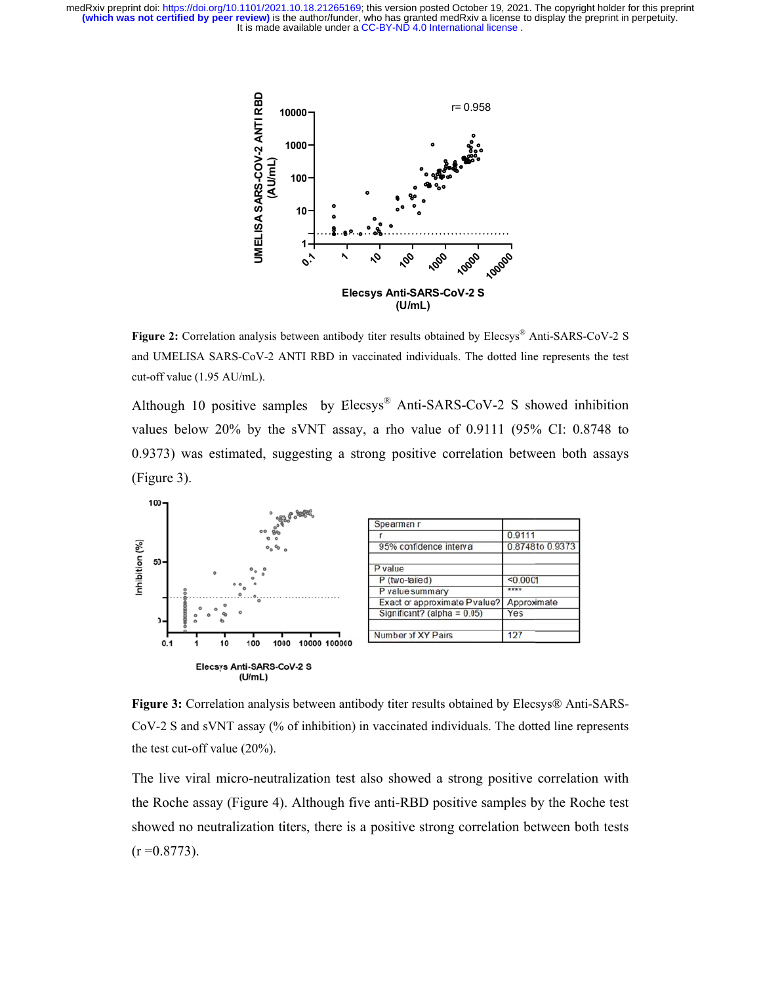It is made available under a CC-BY-ND 4.0 International license. **(which was not certified by peer review)** is the author/funder, who has granted medRxiv a license to display the preprint in perpetuity. medRxiv preprint doi: [https://doi.org/10.1101/2021.10.18.21265169;](https://doi.org/10.1101/2021.10.18.21265169) this version posted October 19, 2021. The copyright holder for this preprint



Figure 2: Correlation analysis between antibody titer results obtained by Elecsys® Anti-SARS-CoV-2 S and UMELISA SARS-CoV-2 ANTI RBD in vaccinated individuals. The dotted line represents the test cut-off value (1.95 AU/mL).

Although 10 positive samples by  $Elecsys^{\circledR}$  Anti-SARS-CoV-2 S showed inhibition values below  $20\%$  by the sVNT assay, a rho value of  $0.9111$   $(95\%$  CI:  $0.8748$  to 0.9373) was estimated, suggesting a strong positive correlation between both assays (Figure 3).



Figure 3: Correlation analysis between antibody titer results obtained by Elecsys® Anti-SARS-CoV-2 S and sVNT assay (% of inhibition) in vaccinated individuals. The dotted line represents the test cut-off value  $(20\%)$ .

The live viral micro-neutralization test also showed a strong positive correlation with the Roche assay (Figure 4). Although five anti-RBD positive samples by the Roche test showed no neutralization titers, there is a positive strong correlation between both tests  $(r = 0.8773)$ .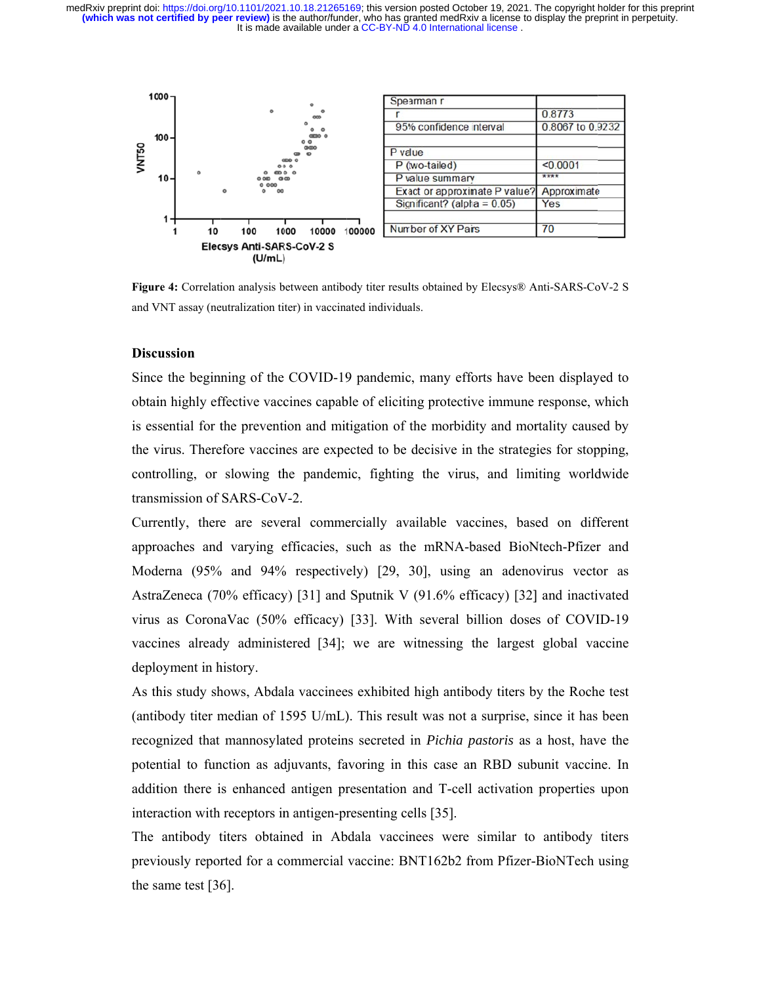It is made available under a CC-BY-ND 4.0 International license. **(which was not certified by peer review)** is the author/funder, who has granted medRxiv a license to display the preprint in perpetuity. medRxiv preprint doi: [https://doi.org/10.1101/2021.10.18.21265169;](https://doi.org/10.1101/2021.10.18.21265169) this version posted October 19, 2021. The copyright holder for this preprint



Figure 4: Correlation analysis between antibody titer results obtained by Elecsys® Anti-SARS-CoV-2 S and VNT assay (neutralization titer) in vaccinated individuals.

### **Discussion**

Since the beginning of the COVID-19 pandemic, many efforts have been displayed to obtain highly effective vaccines capable of eliciting protective immune response, which is essential for the prevention and mitigation of the morbidity and mortality caused by the virus. Therefore vaccines are expected to be decisive in the strategies for stopping, controlling, or slowing the pandemic, fighting the virus, and limiting worldwide transmission of SARS-CoV-2.

Currently, there are several commercially available vaccines, based on different approaches and varying efficacies, such as the mRNA-based BioNtech-Pfizer and Moderna (95% and 94% respectively) [29, 30], using an adenovirus vector as AstraZeneca (70% efficacy) [31] and Sputnik V (91.6% efficacy) [32] and inactivated virus as CoronaVac (50% efficacy) [33]. With several billion doses of COVID-19 vaccines already administered [34]; we are witnessing the largest global vaccine deployment in history.

As this study shows, Abdala vaccinees exhibited high antibody titers by the Roche test (antibody titer median of 1595 U/mL). This result was not a surprise, since it has been recognized that mannosylated proteins secreted in *Pichia pastoris* as a host, have the potential to function as adjuvants, favoring in this case an RBD subunit vaccine. In addition there is enhanced antigen presentation and T-cell activation properties upon interaction with receptors in antigen-presenting cells [35].

The antibody titers obtained in Abdala vaccinees were similar to antibody titers previously reported for a commercial vaccine: BNT162b2 from Pfizer-BioNTech using the same test [36].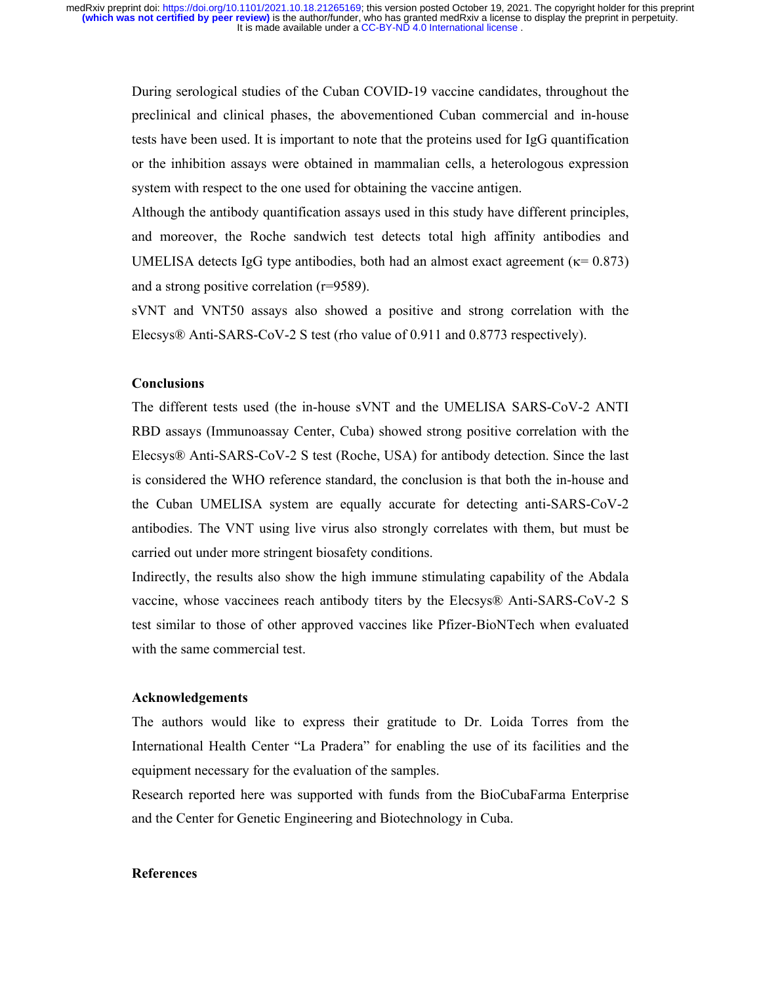During serological studies of the Cuban COVID-19 vaccine candidates, throughout the preclinical and clinical phases, the abovementioned Cuban commercial and in-house tests have been used. It is important to note that the proteins used for IgG quantification or the inhibition assays were obtained in mammalian cells, a heterologous expression system with respect to the one used for obtaining the vaccine antigen.

Although the antibody quantification assays used in this study have different principles, and moreover, the Roche sandwich test detects total high affinity antibodies and UMELISA detects IgG type antibodies, both had an almost exact agreement ( $\kappa$ = 0.873) and a strong positive correlation (r=9589).

sVNT and VNT50 assays also showed a positive and strong correlation with the Elecsys® Anti-SARS-CoV-2 S test (rho value of 0.911 and 0.8773 respectively).

# **Conclusions**

The different tests used (the in-house sVNT and the UMELISA SARS-CoV-2 ANTI RBD assays (Immunoassay Center, Cuba) showed strong positive correlation with the Elecsys® Anti-SARS-CoV-2 S test (Roche, USA) for antibody detection. Since the last is considered the WHO reference standard, the conclusion is that both the in-house and the Cuban UMELISA system are equally accurate for detecting anti-SARS-CoV-2 antibodies. The VNT using live virus also strongly correlates with them, but must be carried out under more stringent biosafety conditions.

Indirectly, the results also show the high immune stimulating capability of the Abdala vaccine, whose vaccinees reach antibody titers by the Elecsys® Anti-SARS-CoV-2 S test similar to those of other approved vaccines like Pfizer-BioNTech when evaluated with the same commercial test.

# **Acknowledgements**

The authors would like to express their gratitude to Dr. Loida Torres from the International Health Center "La Pradera" for enabling the use of its facilities and the equipment necessary for the evaluation of the samples.

Research reported here was supported with funds from the BioCubaFarma Enterprise and the Center for Genetic Engineering and Biotechnology in Cuba.

### **References**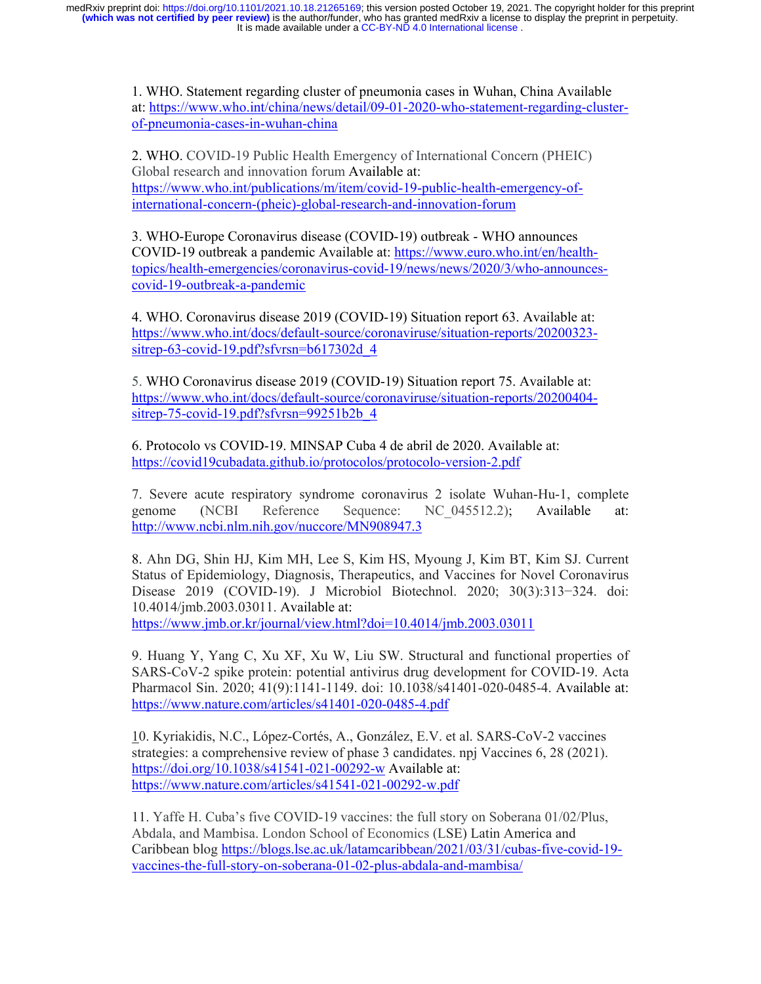> 1. WHO. Statement regarding cluster of pneumonia cases in Wuhan, China Available at: https://www.who.int/china/news/detail/09-01-2020-who-statement-regarding-clusterof-pneumonia-cases-in-wuhan-china

2. WHO. COVID-19 Public Health Emergency of International Concern (PHEIC) Global research and innovation forum Available at: https://www.who.int/publications/m/item/covid-19-public-health-emergency-ofinternational-concern-(pheic)-global-research-and-innovation-forum

3. WHO-Europe Coronavirus disease (COVID-19) outbreak - WHO announces COVID-19 outbreak a pandemic Available at: https://www.euro.who.int/en/healthtopics/health-emergencies/coronavirus-covid-19/news/news/2020/3/who-announcescovid-19-outbreak-a-pandemic

4. WHO. Coronavirus disease 2019 (COVID-19) Situation report 63. Available at: https://www.who.int/docs/default-source/coronaviruse/situation-reports/20200323 sitrep-63-covid-19.pdf?sfvrsn=b617302d\_4

5. WHO Coronavirus disease 2019 (COVID-19) Situation report 75. Available at: https://www.who.int/docs/default-source/coronaviruse/situation-reports/20200404 sitrep-75-covid-19.pdf?sfvrsn=99251b2b 4

6. Protocolo vs COVID-19. MINSAP Cuba 4 de abril de 2020. Available at: https://covid19cubadata.github.io/protocolos/protocolo-version-2.pdf

7. Severe acute respiratory syndrome coronavirus 2 isolate Wuhan-Hu-1, complete genome (NCBI Reference Sequence: NC\_045512.2); Available at: http://www.ncbi.nlm.nih.gov/nuccore/MN908947.3

8. Ahn DG, Shin HJ, Kim MH, Lee S, Kim HS, Myoung J, Kim BT, Kim SJ. Current Status of Epidemiology, Diagnosis, Therapeutics, and Vaccines for Novel Coronavirus Disease 2019 (COVID-19). J Microbiol Biotechnol. 2020; 30(3):313−324. doi: 10.4014/jmb.2003.03011. Available at:

https://www.jmb.or.kr/journal/view.html?doi=10.4014/jmb.2003.03011

9. Huang Y, Yang C, Xu XF, Xu W, Liu SW. Structural and functional properties of SARS-CoV-2 spike protein: potential antivirus drug development for COVID-19. Acta Pharmacol Sin. 2020; 41(9):1141-1149. doi: 10.1038/s41401-020-0485-4. Available at: https://www.nature.com/articles/s41401-020-0485-4.pdf

10. Kyriakidis, N.C., López-Cortés, A., González, E.V. et al. SARS-CoV-2 vaccines strategies: a comprehensive review of phase 3 candidates. npj Vaccines 6, 28 (2021). https://doi.org/10.1038/s41541-021-00292-w Available at: https://www.nature.com/articles/s41541-021-00292-w.pdf

11. Yaffe H. Cuba's five COVID-19 vaccines: the full story on Soberana 01/02/Plus, Abdala, and Mambisa. London School of Economics (LSE) Latin America and Caribbean blog https://blogs.lse.ac.uk/latamcaribbean/2021/03/31/cubas-five-covid-19 vaccines-the-full-story-on-soberana-01-02-plus-abdala-and-mambisa/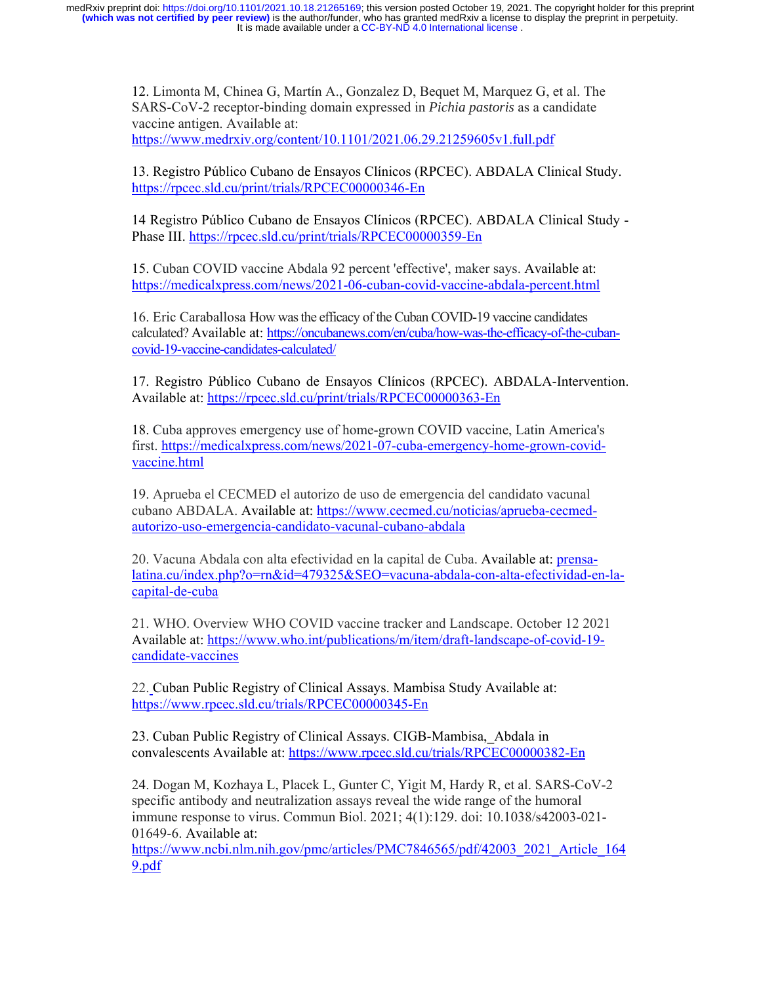> 12. Limonta M, Chinea G, Martín A., Gonzalez D, Bequet M, Marquez G, et al. The SARS-CoV-2 receptor-binding domain expressed in *Pichia pastoris* as a candidate vaccine antigen. Available at: https://www.medrxiv.org/content/10.1101/2021.06.29.21259605v1.full.pdf

13. Registro Público Cubano de Ensayos Clínicos (RPCEC). ABDALA Clinical Study. https://rpcec.sld.cu/print/trials/RPCEC00000346-En

14 Registro Público Cubano de Ensayos Clínicos (RPCEC). ABDALA Clinical Study - Phase III. https://rpcec.sld.cu/print/trials/RPCEC00000359-En

15. Cuban COVID vaccine Abdala 92 percent 'effective', maker says. Available at: https://medicalxpress.com/news/2021-06-cuban-covid-vaccine-abdala-percent.html

16. Eric Caraballosa How was the efficacy of the Cuban COVID-19 vaccine candidates calculated? Available at: https://oncubanews.com/en/cuba/how-was-the-efficacy-of-the-cubancovid-19-vaccine-candidates-calculated/

17. Registro Público Cubano de Ensayos Clínicos (RPCEC). ABDALA-Intervention. Available at: https://rpcec.sld.cu/print/trials/RPCEC00000363-En

18. Cuba approves emergency use of home-grown COVID vaccine, Latin America's first. https://medicalxpress.com/news/2021-07-cuba-emergency-home-grown-covidvaccine.html

19. Aprueba el CECMED el autorizo de uso de emergencia del candidato vacunal cubano ABDALA. Available at: https://www.cecmed.cu/noticias/aprueba-cecmedautorizo-uso-emergencia-candidato-vacunal-cubano-abdala

20. Vacuna Abdala con alta efectividad en la capital de Cuba. Available at: prensalatina.cu/index.php?o=rn&id=479325&SEO=vacuna-abdala-con-alta-efectividad-en-lacapital-de-cuba

21. WHO. Overview WHO COVID vaccine tracker and Landscape. October 12 2021 Available at: https://www.who.int/publications/m/item/draft-landscape-of-covid-19 candidate-vaccines

22. Cuban Public Registry of Clinical Assays. Mambisa Study Available at: https://www.rpcec.sld.cu/trials/RPCEC00000345-En

23. Cuban Public Registry of Clinical Assays. CIGB-Mambisa,\_Abdala in convalescents Available at: https://www.rpcec.sld.cu/trials/RPCEC00000382-En

24. Dogan M, Kozhaya L, Placek L, Gunter C, Yigit M, Hardy R, et al. SARS-CoV-2 specific antibody and neutralization assays reveal the wide range of the humoral immune response to virus. Commun Biol. 2021; 4(1):129. doi: 10.1038/s42003-021- 01649-6. Available at:

https://www.ncbi.nlm.nih.gov/pmc/articles/PMC7846565/pdf/42003\_2021\_Article\_164 9.pdf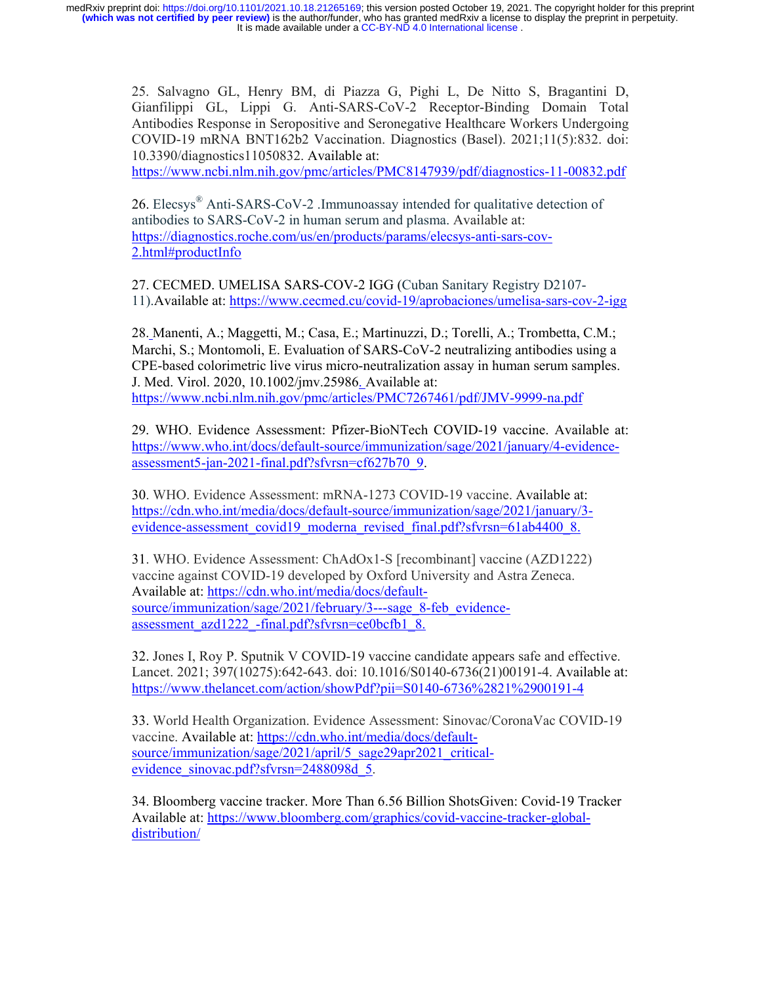> 25. Salvagno GL, Henry BM, di Piazza G, Pighi L, De Nitto S, Bragantini D, Gianfilippi GL, Lippi G. Anti-SARS-CoV-2 Receptor-Binding Domain Total Antibodies Response in Seropositive and Seronegative Healthcare Workers Undergoing COVID-19 mRNA BNT162b2 Vaccination. Diagnostics (Basel). 2021;11(5):832. doi: 10.3390/diagnostics11050832. Available at:

> https://www.ncbi.nlm.nih.gov/pmc/articles/PMC8147939/pdf/diagnostics-11-00832.pdf

26. Elecsys® Anti-SARS-CoV-2 .Immunoassay intended for qualitative detection of antibodies to SARS-CoV-2 in human serum and plasma. Available at: https://diagnostics.roche.com/us/en/products/params/elecsys-anti-sars-cov-2.html#productInfo

27. CECMED. UMELISA SARS-COV-2 IGG (Cuban Sanitary Registry D2107- 11).Available at: https://www.cecmed.cu/covid-19/aprobaciones/umelisa-sars-cov-2-igg

28. Manenti, A.; Maggetti, M.; Casa, E.; Martinuzzi, D.; Torelli, A.; Trombetta, C.M.; Marchi, S.; Montomoli, E. Evaluation of SARS-CoV-2 neutralizing antibodies using a CPE-based colorimetric live virus micro-neutralization assay in human serum samples. J. Med. Virol. 2020, 10.1002/jmv.25986. Available at: https://www.ncbi.nlm.nih.gov/pmc/articles/PMC7267461/pdf/JMV-9999-na.pdf

29. WHO. Evidence Assessment: Pfizer-BioNTech COVID-19 vaccine. Available at: https://www.who.int/docs/default-source/immunization/sage/2021/january/4-evidenceassessment5-jan-2021-final.pdf?sfvrsn=cf627b70\_9.

30. WHO. Evidence Assessment: mRNA-1273 COVID-19 vaccine. Available at: https://cdn.who.int/media/docs/default-source/immunization/sage/2021/january/3 evidence-assessment\_covid19\_moderna\_revised\_final.pdf?sfvrsn=61ab4400\_8.

31. WHO. Evidence Assessment: ChAdOx1-S [recombinant] vaccine (AZD1222) vaccine against COVID-19 developed by Oxford University and Astra Zeneca. Available at: https://cdn.who.int/media/docs/defaultsource/immunization/sage/2021/february/3---sage 8-feb evidenceassessment\_azd1222\_-final.pdf?sfvrsn=ce0bcfb1\_8.

32. Jones I, Roy P. Sputnik V COVID-19 vaccine candidate appears safe and effective. Lancet. 2021; 397(10275):642-643. doi: 10.1016/S0140-6736(21)00191-4. Available at: https://www.thelancet.com/action/showPdf?pii=S0140-6736%2821%2900191-4

33. World Health Organization. Evidence Assessment: Sinovac/CoronaVac COVID-19 vaccine. Available at: https://cdn.who.int/media/docs/defaultsource/immunization/sage/2021/april/5\_sage29apr2021\_criticalevidence\_sinovac.pdf?sfvrsn=2488098d\_5.

34. Bloomberg vaccine tracker. More Than 6.56 Billion ShotsGiven: Covid-19 Tracker Available at: https://www.bloomberg.com/graphics/covid-vaccine-tracker-globaldistribution/